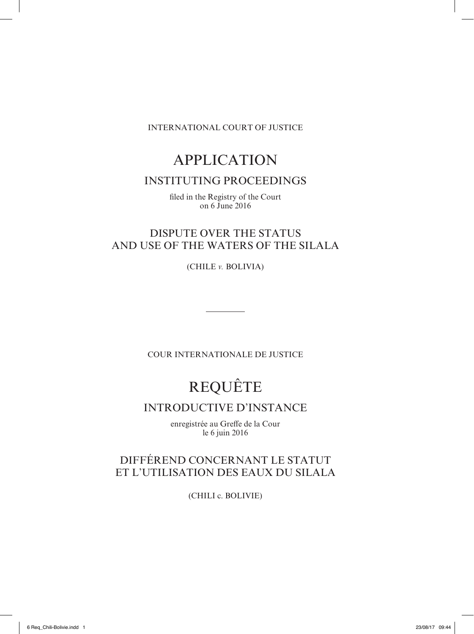INTERNATIONAL COURT OF JUSTICE

## APPLICATION

### INSTITUTING PROCEEDINGS

filed in the Registry of the Court on 6 June 2016

## DISPUTE OVER THE STATUS AND USE OF THE WATERS OF THE SILALA

(CHILE *v.* BOLIVIA)

COUR INTERNATIONALE DE JUSTICE

# REQUÊTE

## INTRODUCTIVE D'INSTANCE

enregistrée au Greffe de la Cour le 6 juin 2016

## DIFFÉREND CONCERNANT LE STATUT ET L'UTILISATION DES EAUX DU SILALA

(CHILI c. BOLIVIE)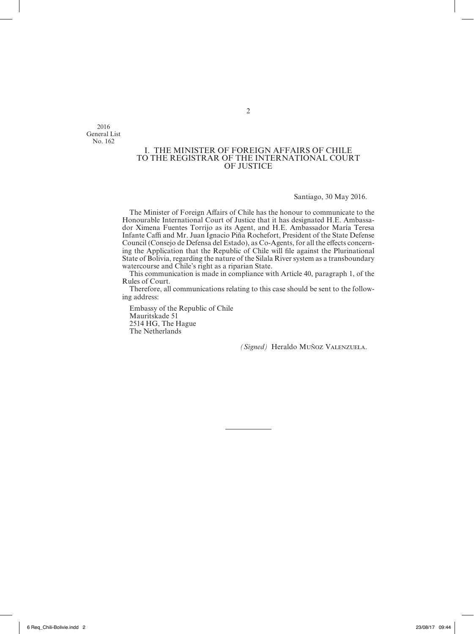2016 General List No. 162

#### I. THE MINISTER OF FOREIGN AFFAIRS OF CHILE TO THE REGISTRAR OF THE INTERNATIONAL COURT OF JUSTICE

Santiago, 30 May 2016.

The Minister of Foreign Affairs of Chile has the honour to communicate to the Honourable International Court of Justice that it has designated H.E. Ambassador Ximena Fuentes Torrijo as its Agent, and H.E. Ambassador María Teresa Infante Caffi and Mr. Juan Ignacio Piña Rochefort, President of the State Defense Council (Consejo de Defensa del Estado), as Co‑Agents, for all the effects concern‑ ing the Application that the Republic of Chile will file against the Plurinational State of Bolivia, regarding the nature of the Silala River system as a transboundary watercourse and Chile's right as a riparian State.

This communication is made in compliance with Article 40, paragraph 1, of the Rules of Court.

Therefore, all communications relating to this case should be sent to the following address:

Embassy of the Republic of Chile Mauritskade 51 2514 HG, The Hague The Netherlands

*(Signed)* Heraldo Muñoz Valenzuela.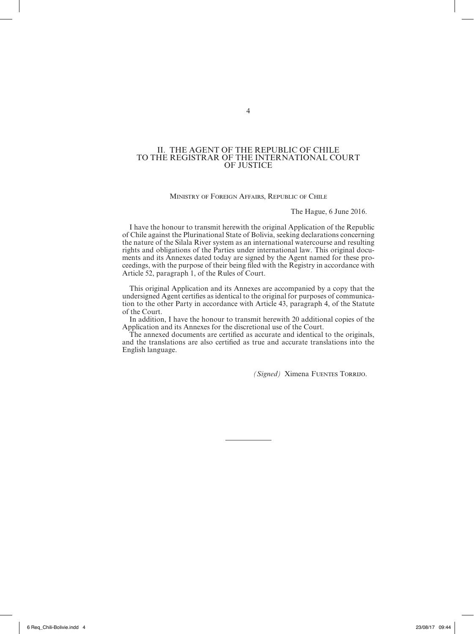#### II. THE AGENT OF THE REPUBLIC OF CHILE TO THE REGISTRAR OF THE INTERNATIONAL COURT OF JUSTICE

#### Ministry of Foreign Affairs, Republic of Chile

The Hague, 6 June 2016.

I have the honour to transmit herewith the original Application of the Republic of Chile against the Plurinational State of Bolivia, seeking declarations concerning the nature of the Silala River system as an international watercourse and resulting rights and obligations of the Parties under international law. This original documents and its Annexes dated today are signed by the Agent named for these proceedings, with the purpose of their being filed with the Registry in accordance with Article 52, paragraph 1, of the Rules of Court.

This original Application and its Annexes are accompanied by a copy that the undersigned Agent certifies as identical to the original for purposes of communication to the other Party in accordance with Article 43, paragraph 4, of the Statute of the Court.

In addition, I have the honour to transmit herewith 20 additional copies of the Application and its Annexes for the discretional use of the Court.

The annexed documents are certified as accurate and identical to the originals, and the translations are also certified as true and accurate translations into the English language.

*(Signed)* Ximena Fuentes Torrijo.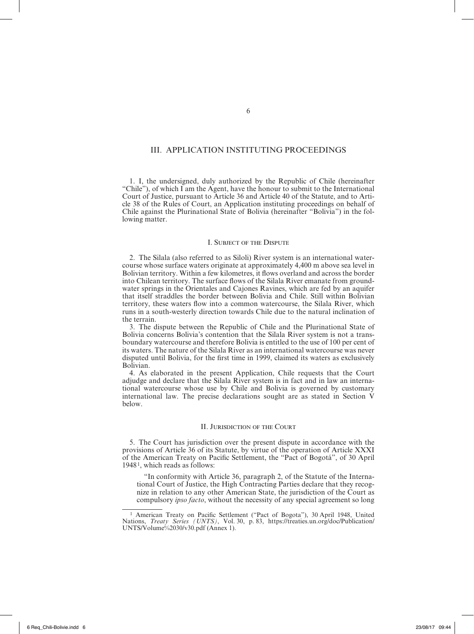#### III. APPLICATION INSTITUTING PROCEEDINGS

1. I, the undersigned, duly authorized by the Republic of Chile (hereinafter "Chile"), of which I am the Agent, have the honour to submit to the International Court of Justice, pursuant to Article 36 and Article 40 of the Statute, and to Article 38 of the Rules of Court, an Application instituting proceedings on behalf of Chile against the Plurinational State of Bolivia (hereinafter "Bolivia") in the following matter.

#### I. Subject of the Dispute

2. The Silala (also referred to as Siloli) River system is an international watercourse whose surface waters originate at approximately 4,400 m above sea level in Bolivian territory. Within a few kilometres, it flows overland and across the border into Chilean territory. The surface flows of the Silala River emanate from groundwater springs in the Orientales and Cajones Ravines, which are fed by an aquifer that itself straddles the border between Bolivia and Chile. Still within Bolivian territory, these waters flow into a common watercourse, the Silala River, which runs in a south-westerly direction towards Chile due to the natural inclination of the terrain.

3. The dispute between the Republic of Chile and the Plurinational State of Bolivia concerns Bolivia's contention that the Silala River system is not a trans‑ boundary watercourse and therefore Bolivia is entitled to the use of 100 per cent of its waters. The nature of the Silala River as an international watercourse was never disputed until Bolivia, for the first time in 1999, claimed its waters as exclusively Bolivian.

4. As elaborated in the present Application, Chile requests that the Court adjudge and declare that the Silala River system is in fact and in law an international watercourse whose use by Chile and Bolivia is governed by customary international law. The precise declarations sought are as stated in Section V below.

#### II. Jurisdiction of the Court

5. The Court has jurisdiction over the present dispute in accordance with the provisions of Article 36 of its Statute, by virtue of the operation of Article XXXI of the American Treaty on Pacific Settlement, the "Pact of Bogotá", of 30 April 19481, which reads as follows:

"In conformity with Article 36, paragraph 2, of the Statute of the Interna‑ tional Court of Justice, the High Contracting Parties declare that they recognize in relation to any other American State, the jurisdiction of the Court as compulsory *ipso facto*, without the necessity of any special agreement so long

<sup>&</sup>lt;sup>1</sup> American Treaty on Pacific Settlement ("Pact of Bogota"), 30 April 1948, United Nations, *Treaty Series (UNTS)*, Vol. 30, p. 83, https://treaties.un.org/doc/Publication/ UNTS/Volume%2030/v30.pdf (Annex 1).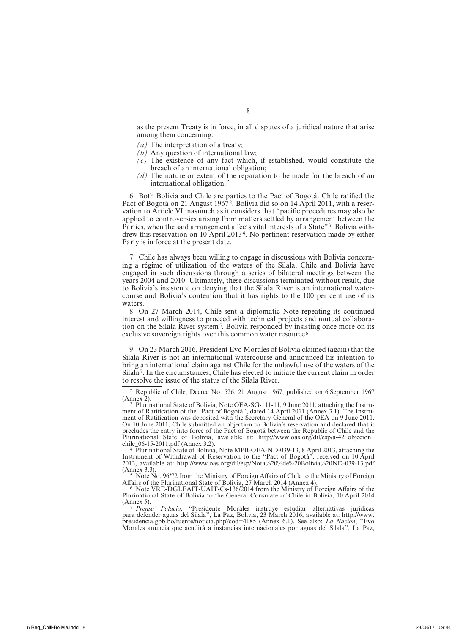as the present Treaty is in force, in all disputes of a juridical nature that arise among them concerning:

- *(a)* The interpretation of a treaty;
- *(b)* Any question of international law;
- *(c)* The existence of any fact which, if established, would constitute the breach of an international obligation;
- *(d)* The nature or extent of the reparation to be made for the breach of an international obligation."

6. Both Bolivia and Chile are parties to the Pact of Bogotá. Chile ratified the Pact of Bogotá on 21 August 1967<sup>2</sup>. Bolivia did so on 14 April 2011, with a reservation to Article VI inasmuch as it considers that "pacific procedures may also be applied to controversies arising from matters settled by arrangement between the Parties, when the said arrangement affects vital interests of a State"<sup>3</sup>. Bolivia with– drew this reservation on 10 April 20134. No pertinent reservation made by either Party is in force at the present date.

7. Chile has always been willing to engage in discussions with Bolivia concern‑ ing a régime of utilization of the waters of the Silala. Chile and Bolivia have engaged in such discussions through a series of bilateral meetings between the years 2004 and 2010. Ultimately, these discussions terminated without result, due to Bolivia's insistence on denying that the Silala River is an international watercourse and Bolivia's contention that it has rights to the 100 per cent use of its waters.

8. On 27 March 2014, Chile sent a diplomatic Note repeating its continued interest and willingness to proceed with technical projects and mutual collaboration on the Silala River system<sup>5</sup>. Bolivia responded by insisting once more on its exclusive sovereign rights over this common water resource<sup>6</sup>.

9. On 23 March 2016, President Evo Morales of Bolivia claimed (again) that the Silala River is not an international watercourse and announced his intention to bring an international claim against Chile for the unlawful use of the waters of the Silala7. In the circumstances, Chile has elected to initiate the current claim in order to resolve the issue of the status of the Silala River.

<sup>4</sup> Plurinational State of Bolivia, Note MPB-OEA-ND-039-13, 8 April 2013, attaching the Instrument of Withdrawal of Reservation to the "Pact of Bogotá", received on 10 April 2013, available at: http://www.oas.org/dil/esp/Nota%20%de%20Bolivia%20ND-039-13.pdf

(Annex 3.3).<br><sup>5</sup> Note No. 96/72 from the Ministry of Foreign Affairs of Chile to the Ministry of Foreign<br>Affairs of the Plurinational State of Bolivia, 27 March 2014 (Annex 4).

 $6$  Note VRE-DGLFAIT-UAIT-Cs-136/2014 from the Ministry of Foreign Affairs of the Plurinational State of Bolivia to the General Consulate of Chile in Bolivia, 10 April 2014

<sup>7</sup> *Prensa Palacio*, "Presidente Morales instruye estudiar alternativas juridicas para defender aguas del Silala", La Paz, Bolivia, 23 March 2016, available at: http://www. presidencia.gob.bo/fuente/noticia.php?cod=4185 (Annex 6.1). See also: *La Nación*, "Evo Morales anuncia que acudirá a instancias internacionales por aguas del Silala", La Paz,

<sup>2</sup> Republic of Chile, Decree No. 526, 21 August 1967, published on 6 September 1967

<sup>(</sup>Annex 2).<br><sup>3</sup> Plurinational State of Bolivia, Note OEA-SG-111-11, 9 June 2011, attaching the Instrument of Ratification of the "Pact of Bogotá", dated 14 April 2011 (Annex 3.1). The Instrument of Ratification was deposited with the Secretary-General of the OEA on 9 June 2011. On 10 June 2011, Chile submitted an objection to Bolivia's reservation and declared that it precludes the entry into force of the Pact of Bogotá between the Republic of Chile and the Plurinational State of Bolivia, available at: http://www.oas.org/dil/esp/a-42\_objecion\_chile\_06-15-2011.pdf (Annex 3.2).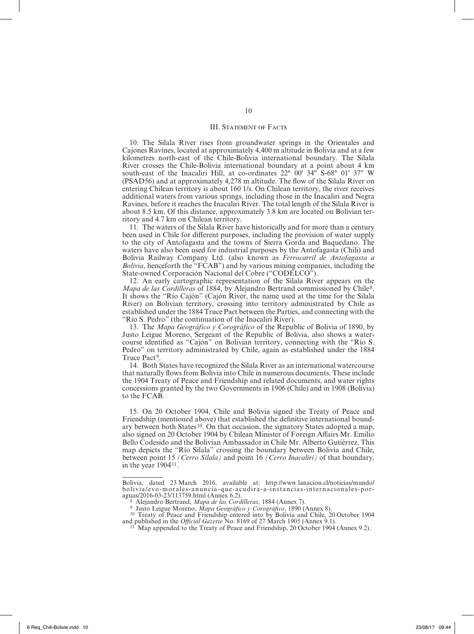#### III. STATEMENT OF FACTS

10. The Silala River rises from groundwater springs in the Orientales and Cajones Ravines, located at approximately 4,400 m altitude in Bolivia and at a few kilometres north-east of the Chile-Bolivia international boundary. The Silala River crosses the Chile-Bolivia international boundary at a point about 4 km south-east of the Inacaliri Hill, at co-ordinates 22° 00' 34" S-68° 01' 37" W (PSAD56) and at approximately 4,278 m altitude. The flow of the Silala River on entering Chilean territory is about 160 1/s. On Chilean territory, the river receives additional waters from various springs, including those in the Inacaliri and Negra Ravines, before it reaches the Inacaliri River. The total length of the Silala River is about 8.5 km. Of this distance, approximately 3.8 km are located on Bolivian territory and 4.7 km on Chilean territory.

11. The waters of the Silala River have historically and for more than a century been used in Chile for different purposes, including the provision of water supply to the city of Antofagasta and the towns of Sierra Gorda and Baquedano. The waters have also been used for industrial purposes by the Antofagasta (Chili) and Bolivia Railway Company Ltd. (also known as *Ferrocarril de Antofagasta a Bolivia*, henceforth the "FCAB") and by various mining companies, including the State-owned Corporación Nacional del Cobre ("CODELCO").

12. An early cartographic representation of the Silala River appears on the *Mapa de las Cordilleras* of 1884, by Alejandro Bertrand commissioned by Chile<sup>8</sup>. It shows the "Río Cajón" (Cajón River, the name used at the time for the Silala River) on Bolivian territory, crossing into territory administrated by Chile as established under the 1884 Truce Pact between the Parties, and connecting with the "Río S. Pedro" (the continuation of the Inacaliri River).

13. The *Mapa Geográfico y Corográfico* of the Republic of Bolivia of 1890, by Justo Leigue Moreno, Sergeant of the Republic of Bolivia, also shows a water‑ course identified as "Cajón" on Bolivian territory, connecting with the "Río S. Pedro" on territory administrated by Chile, again as established under the 1884 Truce Pact<sup>9</sup>.

14. Both States have recognized the Silala River as an international watercourse that naturally flows from Bolivia into Chile in numerous documents. These include the 1904 Treaty of Peace and Friendship and related documents, and water rights concessions granted by the two Governments in 1906 (Chile) and in 1908 (Bolivia) to the FCAB.

15. On 20 October 1904, Chile and Bolivia signed the Treaty of Peace and Friendship (mentioned above) that established the definitive international boundary between both States<sup>10</sup>. On that occasion, the signatory States adopted a map, also signed on 20 October 1904 by Chilean Minister of Foreign Affairs Mr. Emilio Bello Codesido and the Bolivian Ambassador in Chile Mr. Alberto Gutiérrez. This map depicts the "Río Silala" crossing the boundary between Bolivia and Chile, between point 15 *(Cerro Silala)* and point 16 *(Cerro Inacaliri)* of that boundary, in the year 190411.

Bolivia, dated 23 March 2016, available at: http://www.lanacion.cl/noticias/mundo/ bolivia/evo-morales-anuncia-que-acudira-a-instancias-internacionales-por-

aguas/2016-03-23/113759.html (Annex 6.2).<br><sup>8</sup> Alejandro Bertrand, *Mapa de las Cordilleras*, 1884 (Annex 7).<br><sup>9</sup> Justo Leigue Moreno, *Mapa Geográfico y Corográfico*, 1890 (Annex 8).<br><sup>10</sup> Treaty of Peace and Friendship ent and published in the *Official Gazette* No. 8169 of 27 March 1905 (Annex 9.1).<br><sup>11</sup> Map appended to the Treaty of Peace and Friendship, 20 October 1904 (Annex 9.2).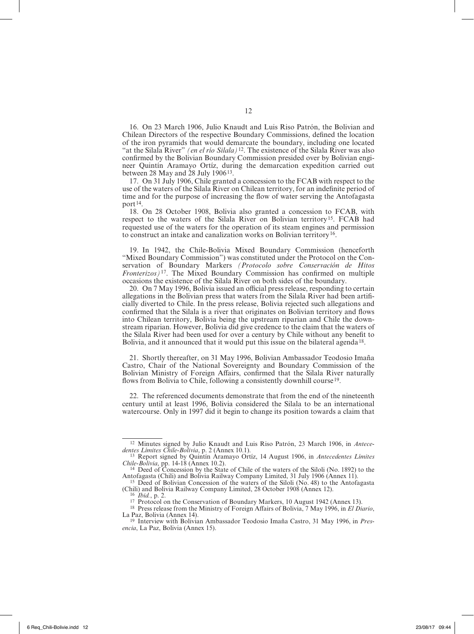16. On 23 March 1906, Julio Knaudt and Luis Riso Patrón, the Bolivian and Chilean Directors of the respective Boundary Commissions, defined the location of the iron pyramids that would demarcate the boundary, including one located "at the Silala River" *(en el río Silala)*12. The existence of the Silala River was also confirmed by the Bolivian Boundary Commission presided over by Bolivian engineer Quintín Aramayo Ortíz, during the demarcation expedition carried out between 28 May and 28 July 190613.

17. On 31 July 1906, Chile granted a concession to the FCAB with respect to the use of the waters of the Silala River on Chilean territory, for an indefinite period of time and for the purpose of increasing the flow of water serving the Antofagasta port<sup>14</sup>.

18. On 28 October 1908, Bolivia also granted a concession to FCAB, with respect to the waters of the Silala River on Bolivian territory15. FCAB had requested use of the waters for the operation of its steam engines and permission to construct an intake and canalization works on Bolivian territory<sup>16</sup>.

19. In 1942, the Chile-Bolivia Mixed Boundary Commission (henceforth "Mixed Boundary Commission") was constituted under the Protocol on the Conservation of Boundary Markers *(Protocolo sobre Conservación de Hitos Fronterizos)*17. The Mixed Boundary Commission has confirmed on multiple occasions the existence of the Silala River on both sides of the boundary.

20. On 7 May 1996, Bolivia issued an official press release, responding to certain allegations in the Bolivian press that waters from the Silala River had been artificially diverted to Chile. In the press release, Bolivia rejected such allegations and confirmed that the Silala is a river that originates on Bolivian territory and flows into Chilean territory. Bolivia being the upstream riparian and Chile the downstream riparian. However, Bolivia did give credence to the claim that the waters of the Silala River had been used for over a century by Chile without any benefit to Bolivia, and it announced that it would put this issue on the bilateral agenda<sup>18</sup>.

21. Shortly thereafter, on 31 May 1996, Bolivian Ambassador Teodosio Imaña Castro, Chair of the National Sovereignty and Boundary Commission of the Bolivian Ministry of Foreign Affairs, confirmed that the Silala River naturally flows from Bolivia to Chile, following a consistently downhill course<sup>19</sup>.

22. The referenced documents demonstrate that from the end of the nineteenth century until at least 1996, Bolivia considered the Silala to be an international watercourse. Only in 1997 did it begin to change its position towards a claim that

<sup>&</sup>lt;sup>12</sup> Minutes signed by Julio Knaudt and Luis Riso Patrón, 23 March 1906, in *Antece-dentes Limites Chile-Bolivia*, p. 2 (Annex 10.1). *dentes Límites Chile-Bolivia*, p. 2 (Annex 10.1). <sup>13</sup> Report signed by Quintín Aramayo Ortíz, 14 August 1906, in *Antecedentes Límites* 

*Chile-Bolivia*, pp. 14-18 (Annex 10.2). <sup>14</sup> Deed of Concession by the State of Chile of the waters of the Siloli (No. 1892) to the

Antofagasta (Chili) and Bolivia Railway Company Limited, 31 July 1906 (Annex 11).<br>
<sup>15</sup> Deed of Bolivian Concession of the waters of the Siloli (No. 48) to the Antofagasta<br>
(Chili) and Bolivia Railway Company Limited, 28 O

<sup>&</sup>lt;sup>16</sup> *Ibid.*, p. 2.<br><sup>17</sup> Protocol on the Conservation of Boundary Markers, 10 August 1942 (Annex 13).<br><sup>18</sup> Press release from the Ministry of Foreign Affairs of Bolivia, 7 May 1996, in *El Diario*,

La Paz, Bolivia (Annex 14).

<sup>19</sup> Interview with Bolivian Ambassador Teodosio Imaña Castro, 31 May 1996, in *Presencia*, La Paz, Bolivia (Annex 15).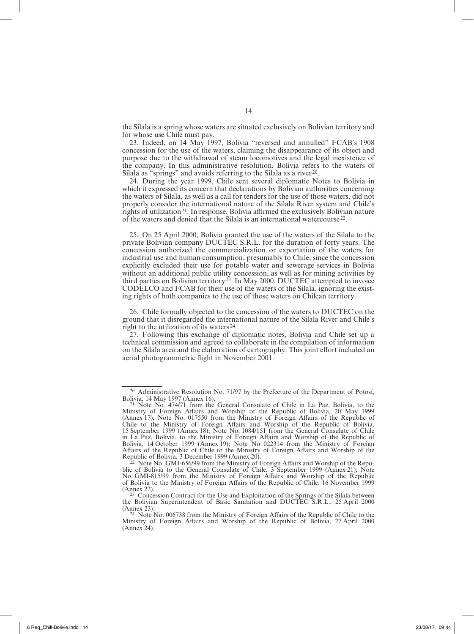the Silala is a spring whose waters are situated exclusively on Bolivian territory and for whose use Chile must pay.

23. Indeed, on 14 May 1997, Bolivia "reversed and annulled" FCAB's 1908 concession for the use of the waters, claiming the disappearance of its object and purpose due to the withdrawal of steam locomotives and the legal inexistence of the company. In this administrative resolution, Bolivia refers to the waters of Silala as "springs" and avoids referring to the Silala as a river<sup>20</sup>.

24. During the year 1999, Chile sent several diplomatic Notes to Bolivia in which it expressed its concern that declarations by Bolivian authorities concerning the waters of Silala, as well as a call for tenders for the use of those waters, did not properly consider the international nature of the Silala River system and Chile's rights of utilization<sup>21</sup>. In response, Bolivia affirmed the exclusively Bolivian nature of the waters and denied that the Silala is an international watercourse  $2^2$ .

25. On 25 April 2000, Bolivia granted the use of the waters of the Silala to the private Bolivian company DUCTEC S.R.L. for the duration of forty years. The concession authorized the commercialization or exportation of the waters for industrial use and human consumption, presumably to Chile, since the concession explicitly excluded their use for potable water and sewerage services in Bolivia without an additional public utility concession, as well as for mining activities by third parties on Bolivian territory<sup>23</sup>. In May 2000, DUCTEC attempted to invoice CODELCO and FCAB for their use of the waters of the Silala, ignoring the exist– ing rights of both companies to the use of those waters on Chilean territory.

26. Chile formally objected to the concession of the waters to DUCTEC on the ground that it disregarded the international nature of the Silala River and Chile's right to the utilization of its waters<sup>24</sup>.

27. Following this exchange of diplomatic notes, Bolivia and Chile set up a technical commission and agreed to collaborate in the compilation of information on the Silala area and the elaboration of cartography. This joint effort included an aerial photogrammetric flight in November 2001.

<sup>&</sup>lt;sup>20</sup> Administrative Resolution No. 71/97 by the Prefecture of the Department of Potosí, Bolivia, 14 May 1997 (Annex 16).

Bolivia, 14 May 1997 (Annex 16).  $^{21}$  Note No. 474/71 from the General Consulate of Chile in La Paz, Bolivia, to the Ministry of Foreign Affairs and Worship of the Republic of Bolivia, 20 May 1999 (Annex 17); Note No. 017550 from the Ministry of Foreign Affairs of the Republic of Chile to the Ministry of Foreign Affairs and Worship of the Republic of Bolivia, 15 September 1999 (Annex 18); Note No. 1084/151 from the General Consulate of Chile in La Paz, Bolivia, to the Ministry of Foreign Affairs and Worship of the Republic of Bolivia, 14 October 1999 (Annex 19); Note No. 022314 from the Ministry of Foreign Affairs of the Republic of Chile to the Ministry of Foreign Affairs and Worship of the Republic of Bolivia, 3 December 1999 (Annex 20).

Note No. GMI-656/99 from the Ministry of Foreign Affairs and Worship of the Republic of Bolivia to the General Consulate of Chile, 3 September 1999 (Annex 21); Note No. GMI-815/99 from the Ministry of Foreign Affairs and Worship of the Republic of Bolivia to the Ministry of Foreign Affairs of the Republic of Chile, 16 November 1999

<sup>(</sup>Annex 22). <sup>23</sup> Concession Contract for the Use and Exploitation of the Springs of the Silala between the Bolivian Superintendent of Basic Sanitation and DUCTEC S.R.L., 25 April 2000

<sup>(</sup>Annex 23). <sup>24</sup> Note No. 006738 from the Ministry of Foreign Affairs of the Republic of Chile to the Ministry of Foreign Affairs and Worship of the Republic of Bolivia, 27 April 2000 (Annex 24).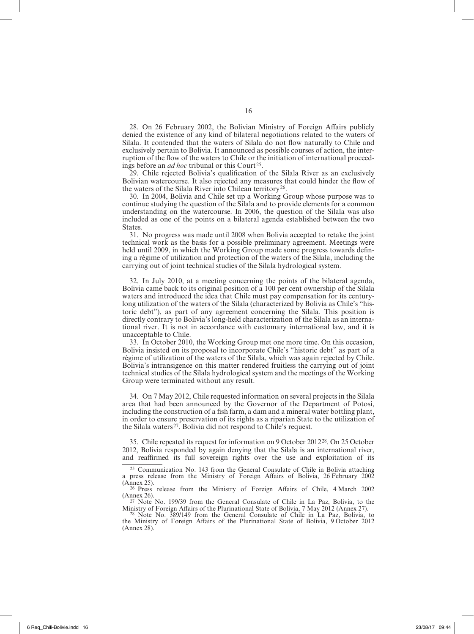28. On 26 February 2002, the Bolivian Ministry of Foreign Affairs publicly denied the existence of any kind of bilateral negotiations related to the waters of Silala. It contended that the waters of Silala do not flow naturally to Chile and exclusively pertain to Bolivia. It announced as possible courses of action, the interruption of the flow of the waters to Chile or the initiation of international proceedings before an *ad hoc* tribunal or this Court<sup>25</sup>.

29. Chile rejected Bolivia's qualification of the Silala River as an exclusively Bolivian watercourse. It also rejected any measures that could hinder the flow of the waters of the Silala River into Chilean territory<sup>26</sup>.

30. In 2004, Bolivia and Chile set up a Working Group whose purpose was to continue studying the question of the Silala and to provide elements for a common understanding on the watercourse. In 2006, the question of the Silala was also included as one of the points on a bilateral agenda established between the two States.

31. No progress was made until 2008 when Bolivia accepted to retake the joint technical work as the basis for a possible preliminary agreement. Meetings were held until 2009, in which the Working Group made some progress towards defining a régime of utilization and protection of the waters of the Silala, including the carrying out of joint technical studies of the Silala hydrological system.

32. In July 2010, at a meeting concerning the points of the bilateral agenda, Bolivia came back to its original position of a 100 per cent ownership of the Silala waters and introduced the idea that Chile must pay compensation for its centurylong utilization of the waters of the Silala (characterized by Bolivia as Chile's "historic debt"), as part of any agreement concerning the Silala. This position is directly contrary to Bolivia's long-held characterization of the Silala as an international river. It is not in accordance with customary international law, and it is unacceptable to Chile.

33. In October 2010, the Working Group met one more time. On this occasion, Bolivia insisted on its proposal to incorporate Chile's "historic debt" as part of a régime of utilization of the waters of the Silala, which was again rejected by Chile. Bolivia's intransigence on this matter rendered fruitless the carrying out of joint technical studies of the Silala hydrological system and the meetings of the Working Group were terminated without any result.

34. On 7 May 2012, Chile requested information on several projects in the Silala area that had been announced by the Governor of the Department of Potosí, including the construction of a fish farm, a dam and a mineral water bottling plant, in order to ensure preservation of its rights as a riparian State to the utilization of the Silala waters<sup>27</sup>. Bolivia did not respond to Chile's request.

35. Chile repeated its request for information on 9 October 201228. On 25 October 2012, Bolivia responded by again denying that the Silala is an international river, and reaffirmed its full sovereign rights over the use and exploitation of its

<sup>25</sup> Communication No. 143 from the General Consulate of Chile in Bolivia attaching a press release from the Ministry of Foreign Affairs of Bolivia, 26 February 2002

<sup>26</sup> Press release from the Ministry of Foreign Affairs of Chile, 4 March 2002 (Annex 26).

<sup>27</sup> Note No. 199/39 from the General Consulate of Chile in La Paz, Bolivia, to the Ministry of Foreign Affairs of the Plurinational State of Bolivia, 7 May 2012 (Annex 27).

<sup>28</sup> Note No. 389/149 from the General Consulate of Chile in La Paz, Bolivia, the Ministry of Foreign Affairs of the Plurinational State of Bolivia, 9 October 2012 (Annex 28).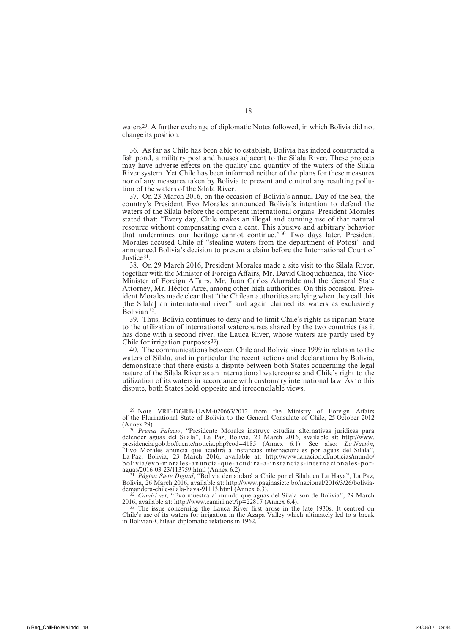waters<sup>29</sup>. A further exchange of diplomatic Notes followed, in which Bolivia did not change its position.

36. As far as Chile has been able to establish, Bolivia has indeed constructed a fish pond, a military post and houses adjacent to the Silala River. These projects may have adverse effects on the quality and quantity of the waters of the Silala River system. Yet Chile has been informed neither of the plans for these measures nor of any measures taken by Bolivia to prevent and control any resulting pollution of the waters of the Silala River.

37. On 23 March 2016, on the occasion of Bolivia's annual Day of the Sea, the country's President Evo Morales announced Bolivia's intention to defend the waters of the Silala before the competent international organs. President Morales stated that: "Every day, Chile makes an illegal and cunning use of that natural resource without compensating even a cent. This abusive and arbitrary behavior that undermines our heritage cannot continue."30 Two days later, President Morales accused Chile of "stealing waters from the department of Potosí" and announced Bolivia's decision to present a claim before the International Court of Justice 31.

38. On 29 March 2016, President Morales made a site visit to the Silala River, together with the Minister of Foreign Affairs, Mr. David Choquehuanca, the Vice-Minister of Foreign Affairs, Mr. Juan Carlos Alurralde and the General State Attorney, Mr. Héctor Arce, among other high authorities. On this occasion, President Morales made clear that "the Chilean authorities are lying when they call this [the Silala] an international river" and again claimed its waters as exclusively Bolivian<sup>32</sup>.

39. Thus, Bolivia continues to deny and to limit Chile's rights as riparian State to the utilization of international watercourses shared by the two countries (as it has done with a second river, the Lauca River, whose waters are partly used by Chile for irrigation purposes<sup>33</sup>).

40. The communications between Chile and Bolivia since 1999 in relation to the waters of Silala, and in particular the recent actions and declarations by Bolivia, demonstrate that there exists a dispute between both States concerning the legal nature of the Silala River as an international watercourse and Chile's right to the utilization of its waters in accordance with customary international law. As to this dispute, both States hold opposite and irreconcilable views.

<sup>29</sup> Note VRE-DGRB-UAM-020663/2012 from the Ministry of Foreign Affairs of the Plurinational State of Bolivia to the General Consulate of Chile, 25 October 2012

<sup>&</sup>lt;sup>30</sup> *Prensa Palacio*, "Presidente Morales instruye estudiar alternativas juridicas para defender aguas del Silala", La Paz, Bolivia, 23 March 2016, available at: http://www. presidencia.gob.bo/fuente/noticia.php?cod=4185 (Annex 6.1). See also: *La Nación*, "Evo Morales anuncia que acudirá a instancias internacionales por aguas del Silala", La Paz, Bolivia, 23 March 2016, available at: http://www.lanacion.cl/noticias/mundo/ bolivia/evo-morales-anuncia-que-acudira-a-instancias-internacionales-por-

aguas/2016-03-23/113759.html (Annex 6.2). <sup>31</sup> *Página Siete Digital*, "Bolivia demandará a Chile por el Silala en La Haya", La Paz, Bolivia, 26 March 2016, available at: http://www.paginasiete.bo/nacional/2016/3/26/bolivia-

demandera-chile-silala-haya-91113.html (Annex 6.3). <sup>32</sup> *Camiri.net*, "Evo muestra al mundo que aguas del Silala son de Bolivia", 29 March

<sup>&</sup>lt;sup>33</sup> The issue concerning the Lauca River first arose in the late 1930s. It centred on Chile's use of its waters for irrigation in the Azapa Valley which ultimately led to a break in Bolivian-Chilean diplomatic relations in 1962.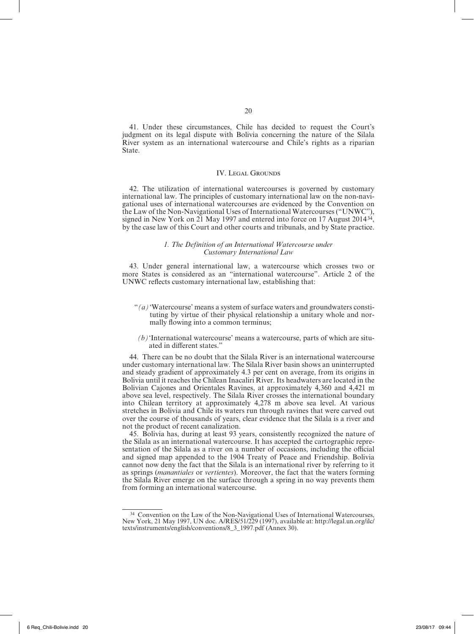41. Under these circumstances, Chile has decided to request the Court's judgment on its legal dispute with Bolivia concerning the nature of the Silala River system as an international watercourse and Chile's rights as a riparian State.

#### IV. Legal Grounds

42. The utilization of international watercourses is governed by customary international law. The principles of customary international law on the non-navigational uses of international watercourses are evidenced by the Convention on the Law of the Non-Navigational Uses of International Watercourses ("UNWC"), signed in New York on 21 May 1997 and entered into force on 17 August 201434, by the case law of this Court and other courts and tribunals, and by State practice.

#### *1. The Definition of an International Watercourse under Customary International Law*

43. Under general international law, a watercourse which crosses two or more States is considered as an "international watercourse". Article 2 of the UNWC reflects customary international law, establishing that:

- " $(a)$  'Watercourse' means a system of surface waters and groundwaters constituting by virtue of their physical relationship a unitary whole and nor– mally flowing into a common terminus;
- $(b)$ <sup>'</sup>International watercourse' means a watercourse, parts of which are situated in different states."

44. There can be no doubt that the Silala River is an international watercourse under customary international law. The Silala River basin shows an uninterrupted and steady gradient of approximately 4.3 per cent on average, from its origins in Bolivia until it reaches the Chilean Inacaliri River. Its headwaters are located in the Bolivian Cajones and Orientales Ravines, at approximately 4,360 and 4,421 m above sea level, respectively. The Silala River crosses the international boundary into Chilean territory at approximately 4,278 m above sea level. At various stretches in Bolivia and Chile its waters run through ravines that were carved out over the course of thousands of years, clear evidence that the Silala is a river and not the product of recent canalization.

45. Bolivia has, during at least 93 years, consistently recognized the nature of the Silala as an international watercourse. It has accepted the cartographic repre‑ sentation of the Silala as a river on a number of occasions, including the official and signed map appended to the 1904 Treaty of Peace and Friendship. Bolivia cannot now deny the fact that the Silala is an international river by referring to it as springs (*manantiales* or *vertientes*). Moreover, the fact that the waters forming the Silala River emerge on the surface through a spring in no way prevents them from forming an international watercourse.

<sup>34</sup> Convention on the Law of the Non-Navigational Uses of International Watercourses, New York, 21 May 1997, UN doc. A/RES/51/229 (1997), available at: http://legal.un.org/ilc/ texts/instruments/english/conventions/8\_3\_1997.pdf (Annex 30).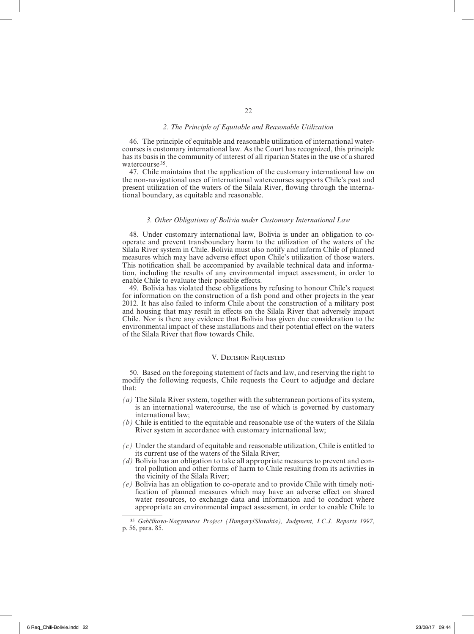#### *2. The Principle of Equitable and Reasonable Utilization*

46. The principle of equitable and reasonable utilization of international watercourses is customary international law. As the Court has recognized, this principle has its basis in the community of interest of all riparian States in the use of a shared watercourse<sup>35</sup>.

47. Chile maintains that the application of the customary international law on the non-navigational uses of international watercourses supports Chile's past and present utilization of the waters of the Silala River, flowing through the interna‑ tional boundary, as equitable and reasonable.

#### *3. Other Obligations of Bolivia under Customary International Law*

48. Under customary international law, Bolivia is under an obligation to cooperate and prevent transboundary harm to the utilization of the waters of the Silala River system in Chile. Bolivia must also notify and inform Chile of planned measures which may have adverse effect upon Chile's utilization of those waters. This notification shall be accompanied by available technical data and information, including the results of any environmental impact assessment, in order to enable Chile to evaluate their possible effects.

49. Bolivia has violated these obligations by refusing to honour Chile's request for information on the construction of a fish pond and other projects in the year 2012. It has also failed to inform Chile about the construction of a military post and housing that may result in effects on the Silala River that adversely impact Chile. Nor is there any evidence that Bolivia has given due consideration to the environmental impact of these installations and their potential effect on the waters of the Silala River that flow towards Chile.

#### V. DECISION REQUESTED

50. Based on the foregoing statement of facts and law, and reserving the right to modify the following requests, Chile requests the Court to adjudge and declare that:

- *(a)* The Silala River system, together with the subterranean portions of its system, is an international watercourse, the use of which is governed by customary international law;
- *(b)* Chile is entitled to the equitable and reasonable use of the waters of the Silala River system in accordance with customary international law;
- *(c)* Under the standard of equitable and reasonable utilization, Chile is entitled to its current use of the waters of the Silala River;
- *(d)* Bolivia has an obligation to take all appropriate measures to prevent and control pollution and other forms of harm to Chile resulting from its activities in the vicinity of the Silala River;
- *(e)* Bolivia has an obligation to co-operate and to provide Chile with timely notification of planned measures which may have an adverse effect on shared water resources, to exchange data and information and to conduct where appropriate an environmental impact assessment, in order to enable Chile to

<sup>35</sup> *Gabčíkovo-Nagymaros Project (Hungary/Slovakia), Judgment, I.C.J. Reports 1997*, p. 56, para. 85.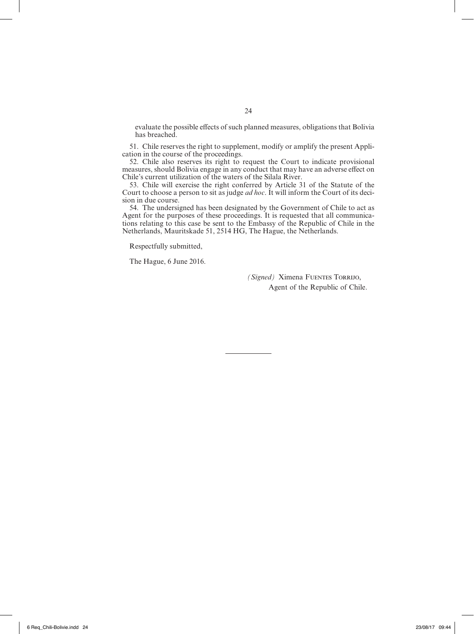evaluate the possible effects of such planned measures, obligations that Bolivia has breached.

51. Chile reserves the right to supplement, modify or amplify the present Application in the course of the proceedings.

52. Chile also reserves its right to request the Court to indicate provisional measures, should Bolivia engage in any conduct that may have an adverse effect on Chile's current utilization of the waters of the Silala River.

53. Chile will exercise the right conferred by Article 31 of the Statute of the Court to choose a person to sit as judge *ad hoc*. It will inform the Court of its decision in due course.

54. The undersigned has been designated by the Government of Chile to act as Agent for the purposes of these proceedings. It is requested that all communications relating to this case be sent to the Embassy of the Republic of Chile in the Netherlands, Mauritskade 51, 2514 HG, The Hague, the Netherlands.

Respectfully submitted,

The Hague, 6 June 2016.

*(Signed)* Ximena FUENTES TORRIJO, Agent of the Republic of Chile.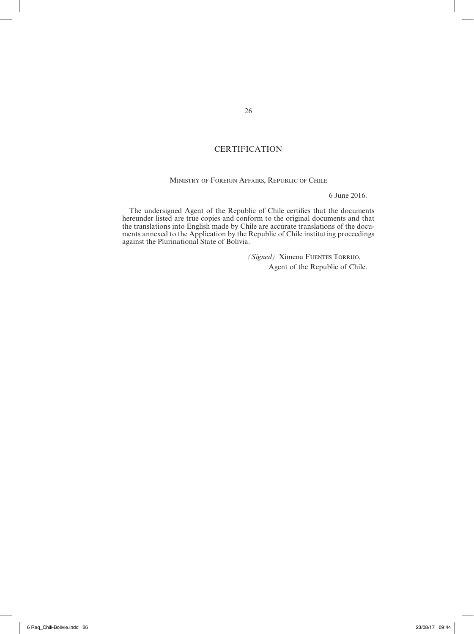#### **CERTIFICATION**

#### Ministry of Foreign Affairs, Republic of Chile

6 June 2016.

The undersigned Agent of the Republic of Chile certifies that the documents hereunder listed are true copies and conform to the original documents and that the translations into English made by Chile are accurate translations of the documents annexed to the Application by the Republic of Chile instituting proceedings against the Plurinational State of Bolivia.

> *(Signed)* Ximena FUENTES TORRIJO, Agent of the Republic of Chile.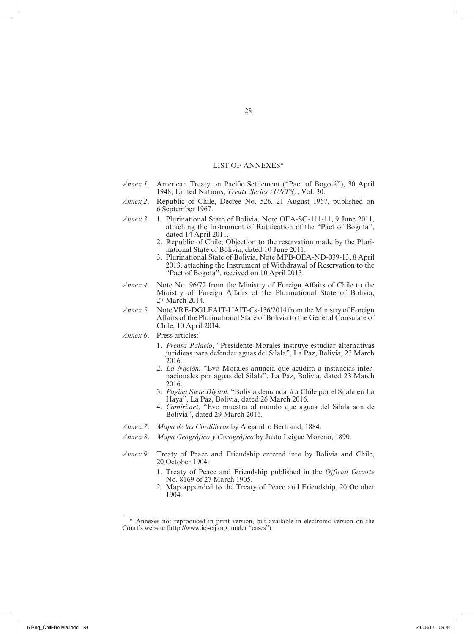#### LIST OF ANNEXES\*

- *Annex 1*. American Treaty on Pacific Settlement ("Pact of Bogotá"), 30 April 1948, United Nations, *Treaty Series (UNTS)*, Vol. 30.
- *Annex 2*. Republic of Chile, Decree No. 526, 21 August 1967, published on 6 September 1967.
- *Annex 3*. 1. Plurinational State of Bolivia, Note OEA-SG-111-11, 9 June 2011, attaching the Instrument of Ratification of the "Pact of Bogotá", dated 14 April 2011.
	- 2. Republic of Chile, Objection to the reservation made by the Plurinational State of Bolivia, dated 10 June 2011.
	- 3. Plurinational State of Bolivia, Note MPB-OEA-ND-039-13, 8 April 2013, attaching the Instrument of Withdrawal of Reservation to the "Pact of Bogotá", received on 10 April 2013.
- *Annex 4*. Note No. 96/72 from the Ministry of Foreign Affairs of Chile to the Ministry of Foreign Affairs of the Plurinational State of Bolivia, 27 March 2014.
- *Annex 5*. Note VRE-DGLFAIT-UAIT-Cs-136/2014 from the Ministry of Foreign Affairs of the Plurinational State of Bolivia to the General Consulate of Chile, 10 April 2014.
- *Annex 6*. Press articles:
	- 1. *Prensa Palacio*, "Presidente Morales instruye estudiar alternativas jurídicas para defender aguas del Silala", La Paz, Bolivia, 23 March 2016.
	- 2. *La Nación*, "Evo Morales anuncia que acudirá a instancias inter‑ nacionales por aguas del Silala", La Paz, Bolivia, dated 23 March 2016.
	- 3. *Página Siete Digital*, "Bolivia demandará a Chile por el Silala en La Haya", La Paz, Bolivia, dated 26 March 2016.
	- 4. *Camiri.net*, "Evo muestra al mundo que aguas del Silala son de Bolivia", dated 29 March 2016.
- *Annex 7*. *Mapa de las Cordilleras* by Alejandro Bertrand, 1884.
- *Annex 8*. *Mapa Geográfico y Corográfico* by Justo Leigue Moreno, 1890.
- *Annex 9*. Treaty of Peace and Friendship entered into by Bolivia and Chile, 20 October 1904:
	- 1. Treaty of Peace and Friendship published in the *Official Gazette* No. 8169 of 27 March 1905.
	- 2. Map appended to the Treaty of Peace and Friendship, 20 October 1904.

<sup>\*</sup> Annexes not reproduced in print version, but available in electronic version on the Court's website (http://www.icj-cij.org, under "cases").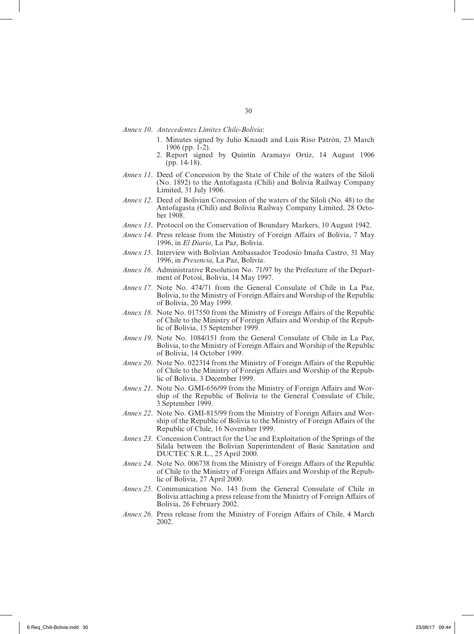*Annex 10*. *Antecedentes Límites Chile-Bolivia*:

- 1. Minutes signed by Julio Knaudt and Luis Riso Patrón, 23 March 1906 (pp. 1-2).
- 2. Report signed by Quintín Aramayo Ortíz, 14 August 1906  $(pp. 14-18)$ .
- *Annex 11*. Deed of Concession by the State of Chile of the waters of the Siloli (No. 1892) to the Antofagasta (Chili) and Bolivia Railway Company Limited, 31 July 1906.
- *Annex 12*. Deed of Bolivian Concession of the waters of the Siloli (No. 48) to the Antofagasta (Chili) and Bolivia Railway Company Limited, 28 October 1908.
- *Annex 13*. Protocol on the Conservation of Boundary Markers, 10 August 1942.
- *Annex 14*. Press release from the Ministry of Foreign Affairs of Bolivia, 7 May 1996, in *El Diario*, La Paz, Bolivia.
- *Annex 15*. Interview with Bolivian Ambassador Teodosio Imaña Castro, 31 May 1996, in *Presencia*, La Paz, Bolivia.
- *Annex 16.* Administrative Resolution No. 71/97 by the Prefecture of the Department of Potosí, Bolivia, 14 May 1997.
- *Annex 17*. Note No. 474/71 from the General Consulate of Chile in La Paz, Bolivia, to the Ministry of Foreign Affairs and Worship of the Republic of Bolivia, 20 May 1999.
- *Annex 18*. Note No. 017550 from the Ministry of Foreign Affairs of the Republic of Chile to the Ministry of Foreign Affairs and Worship of the Republic of Bolivia, 15 September 1999.
- *Annex 19*. Note No. 1084/151 from the General Consulate of Chile in La Paz, Bolivia, to the Ministry of Foreign Affairs and Worship of the Republic of Bolivia, 14 October 1999.
- *Annex 20*. Note No. 022314 from the Ministry of Foreign Affairs of the Republic of Chile to the Ministry of Foreign Affairs and Worship of the Repub‑ lic of Bolivia, 3 December 1999.
- *Annex 21*. Note No. GMI-656/99 from the Ministry of Foreign Affairs and Wor‑ ship of the Republic of Bolivia to the General Consulate of Chile, 3 September 1999.
- *Annex 22*. Note No. GMI-815/99 from the Ministry of Foreign Affairs and Wor‑ ship of the Republic of Bolivia to the Ministry of Foreign Affairs of the Republic of Chile, 16 November 1999.
- *Annex 23*. Concession Contract for the Use and Exploitation of the Springs of the Silala between the Bolivian Superintendent of Basic Sanitation and DUCTEC S.R.L., 25 April 2000.
- *Annex 24*. Note No. 006738 from the Ministry of Foreign Affairs of the Republic of Chile to the Ministry of Foreign Affairs and Worship of the Republic of Bolivia, 27 April 2000.
- *Annex 25*. Communication No. 143 from the General Consulate of Chile in Bolivia attaching a press release from the Ministry of Foreign Affairs of Bolivia, 26 February 2002.
- *Annex 26*. Press release from the Ministry of Foreign Affairs of Chile, 4 March 2002.